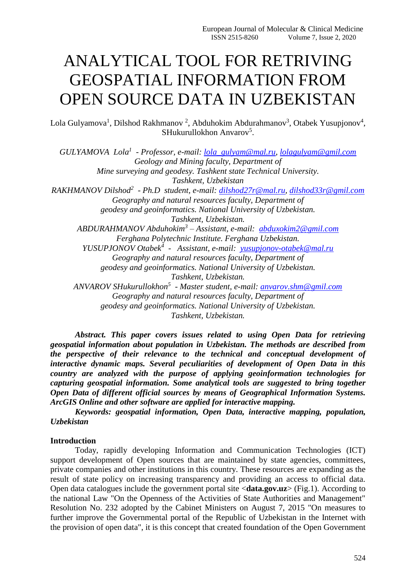# ANALYTICAL TOOL FOR RETRIVING GEOSPATIAL INFORMATION FROM OPEN SOURCE DATA IN UZBEKISTAN

Lola Gulyamova<sup>1</sup>, Dilshod Rakhmanov<sup>2</sup>, Abduhokim Abdurahmanov<sup>3</sup>, Otabek Yusupjonov<sup>4</sup>, SHukurullokhon Anvarov<sup>5</sup>.

*GULYAMOVA Lola<sup>1</sup> - Professor, e-mail: [lola\\_gulyam@mal.ru,](mailto:lola_gulyam@mal.ru) [lolagulyam@gmil.com](mailto:lolagulyam@gmil.com) Geology and Mining faculty, Department of Mine surveying and geodesy. Tashkent state Technical University. Tashkent, Uzbekistan RAKHMANOV Dilshod<sup>2</sup> - Ph.D student, e-mail: [dilshod27r@mal.ru,](mailto:dilshod27r@mal.ru) [dilshod33r@gmil.com](mailto:dilshod33r@gmil.com) Geography and natural resources faculty, Department of geodesy and geoinformatics. National University of Uzbekistan. Tashkent, Uzbekistan. ABDURAHMANOV Abduhokim<sup>3</sup> – Assistant, e-mail: [abduxokim2@gmil.com](mailto:abduxokim2@gmil.com) Ferghana Polytechnic Institute. Ferghana Uzbekistan. YUSUPJONOV Otabek<sup>4</sup> - Assistant, e-mail: [yusupjonov-otabek@mal.ru](mailto:yusupjonov-otabek@mal.ru) Geography and natural resources faculty, Department of geodesy and geoinformatics. National University of Uzbekistan. Tashkent, Uzbekistan. ANVAROV SHukurullokhon<sup>5</sup> - Master student, e-mail: [anvarov.shm@gmil.com](mailto:anvarov.shm@gmil.com) Geography and natural resources faculty, Department of geodesy and geoinformatics. National University of Uzbekistan. Tashkent, Uzbekistan.*

*Abstract. This paper covers issues related to using Open Data for retrieving geospatial information about population in Uzbekistan. The methods are described from the perspective of their relevance to the technical and conceptual development of interactive dynamic maps. Several peculiarities of development of Open Data in this country are analyzed with the purpose of applying geoinformation technologies for capturing geospatial information. Some analytical tools are suggested to bring together Open Data of different official sources by means of Geographical Information Systems. ArcGIS Online and other software are applied for interactive mapping.*

*Keywords: geospatial information, Open Data, interactive mapping, population, Uzbekistan*

#### **Introduction**

Today, rapidly developing Information and Communication Technologies (ICT) support development of Open sources that are maintained by state agencies, committees, private companies and other institutions in this country. These resources are expanding as the result of state policy on increasing transparency and providing an access to official data. Open data catalogues include the government portal site <**[data.gov.uz](https://data.gov.uz/ru)**> (Fig.1). According to the national Law "On the Openness of the Activities of State Authorities and Management" Resolution No. 232 adopted by the Cabinet Ministers on August 7, 2015 "On measures to further improve the Governmental portal of the Republic of Uzbekistan in the Internet with the provision of open data", it is this concept that created foundation of the Open Government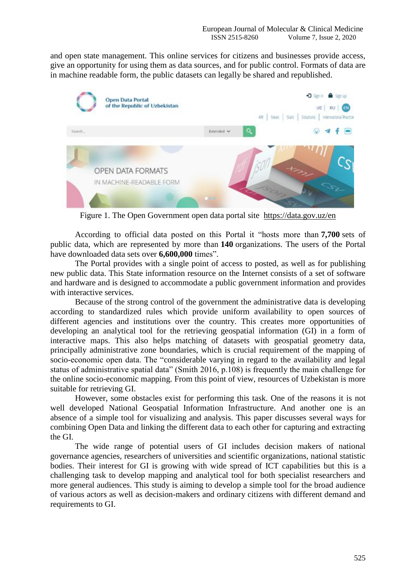and open state management. This online services for citizens and businesses provide access, give an opportunity for using them as data sources, and for public control. Formats of data are in machine readable form, the public datasets can legally be shared and republished.



Figure 1. The Open Government open data portal site <https://data.gov.uz/en>

According to [official data](https://www.gov.uz/en/pages/open_government) posted on this Portal it "hosts more than **7,700** sets of public data, which are represented by more than **140** organizations. The users of the Portal have downloaded data sets over **6,600,000** times".

The Portal provides with a single point of access to posted, as well as for publishing new public data. This State information resource on the Internet consists of a set of software and hardware and is designed to accommodate a public government information and provides with interactive services.

Because of the strong control of the government the administrative data is developing according to standardized rules which provide uniform availability to open sources of different agencies and institutions over the country. This creates more opportunities of developing an analytical tool for the retrieving geospatial information (GI) in a form of interactive maps. This also helps matching of datasets with geospatial geometry data, principally administrative zone boundaries, which is crucial requirement of the mapping of socio-economic open data. The "considerable varying in regard to the availability and legal status of administrative spatial data" (Smith 2016, p.108) is frequently the main challenge for the online socio-economic mapping. From this point of view, resources of Uzbekistan is more suitable for retrieving GI.

However, some obstacles exist for performing this task. One of the reasons it is not well developed National Geospatial Information Infrastructure. And another one is an absence of a simple tool for visualizing and analysis. This paper discusses several ways for combining Open Data and linking the different data to each other for capturing and extracting the GI.

The wide range of potential users of GI includes decision makers of national governance agencies, researchers of universities and scientific organizations, national statistic bodies. Their interest for GI is growing with wide spread of ICT capabilities but this is a challenging task to develop mapping and analytical tool for both specialist researchers and more general audiences. This study is aiming to develop a simple tool for the broad audience of various actors as well as decision-makers and ordinary citizens with different demand and requirements to GI.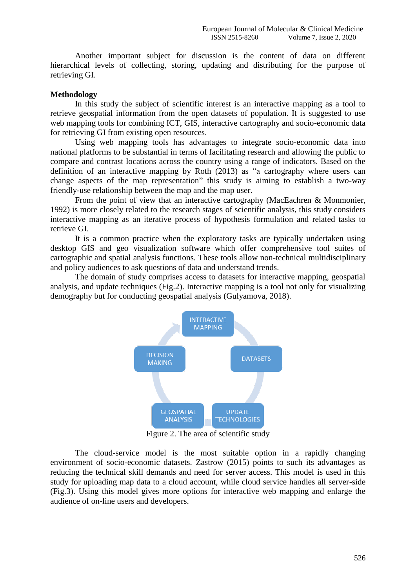Another important subject for discussion is the content of data on different hierarchical levels of collecting, storing, updating and distributing for the purpose of retrieving GI.

#### **Methodology**

In this study the subject of scientific interest is an interactive mapping as a tool to retrieve geospatial information from the open datasets of population. It is suggested to use web mapping tools for combining ICT, GIS, interactive cartography and socio-economic data for retrieving GI from existing open resources.

Using web mapping tools has advantages to integrate socio-economic data into national platforms to be substantial in terms of facilitating research and allowing the public to compare and contrast locations across the country using a range of indicators. Based on the definition of an interactive mapping by Roth (2013) as "a cartography where users can change aspects of the map representation" this study is aiming to establish a two-way friendly-use relationship between the map and the map user.

From the point of view that an interactive cartography (MacEachren & Monmonier, 1992) is more closely related to the research stages of scientific analysis, this study considers interactive mapping as an iterative process of hypothesis formulation and related tasks to retrieve GI.

It is a common practice when the exploratory tasks are typically undertaken using desktop GIS and geo visualization software which offer comprehensive tool suites of cartographic and spatial analysis functions. These tools allow non-technical multidisciplinary and policy audiences to ask questions of data and understand trends.

The domain of study comprises access to datasets for interactive mapping, geospatial analysis, and update techniques (Fig.2). Interactive mapping is a tool not only for visualizing demography but for conducting geospatial analysis (Gulyamova, 2018).



Figure 2. The area of scientific study

The cloud-service model is the most suitable option in a rapidly changing environment of socio-economic datasets. Zastrow (2015) points to such its advantages as reducing the technical skill demands and need for server access. This model is used in this study for uploading map data to a cloud account, while cloud service handles all server-side (Fig.3). Using this model gives more options for interactive web mapping and enlarge the audience of on-line users and developers.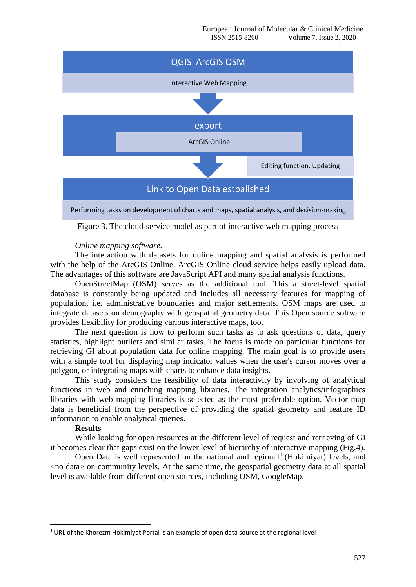

Figure 3. The cloud-service model as part of interactive web mapping process

#### *Online mapping software.*

The interaction with datasets for online mapping and spatial analysis is performed with the help of the ArcGIS Online. ArcGIS Online cloud service helps easily upload data. The advantages of this software are JavaScript API and many spatial analysis functions.

OpenStreetMap (OSM) serves as the additional tool. This a street-level spatial database is constantly being updated and includes all necessary features for mapping of population, i.e. administrative boundaries and major settlements. OSM maps are used to integrate datasets on demography with geospatial geometry data. This Open source software provides flexibility for producing various interactive maps, too.

The next question is how to perform such tasks as to ask questions of data, query statistics, highlight outliers and similar tasks. The focus is made on particular functions for retrieving GI about population data for online mapping. The main goal is to provide users with a simple tool for displaying map indicator values when the user's cursor moves over a polygon, or integrating maps with charts to enhance data insights.

This study considers the feasibility of data interactivity by involving of analytical functions in web and enriching mapping libraries. The integration analytics/infographics libraries with web mapping libraries is selected as the most preferable option. Vector map data is beneficial from the perspective of providing the spatial geometry and feature ID information to enable analytical queries.

#### **Results**

**.** 

While looking for open resources at the different level of request and retrieving of GI it becomes clear that gaps exist on the lower level of hierarchy of interactive mapping (Fig.4).

Open Data is well represented on the national and regional<sup>1</sup> (Hokimiyat) levels, and <no data> on community levels. At the same time, the geospatial geometry data at all spatial level is available from different open sources, including OSM, GoogleMap.

 $1$  URL of the Khorezm Hokimiyat Portal is an example of open data source at the regional level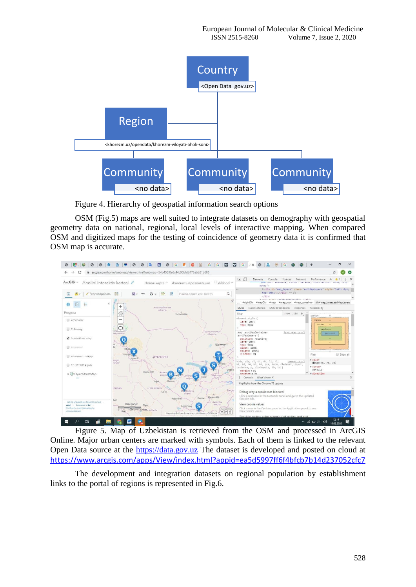

Figure 4. Hierarchy of geospatial information search options

OSM (Fig.5) maps are well suited to integrate datasets on demography with geospatial geometry data on national, regional, local levels of interactive mapping. When compared OSM and digitized maps for the testing of coincidence of geometry data it is confirmed that OSM map is accurate.



Figure 5. Map of Uzbekistan is retrieved from the OSM and processed in ArcGIS Online. Major urban centers are marked with symbols. Each of them is linked to the relevant Open Data source at the [https://data.gov.uz](https://data.gov.uz/) The dataset is developed and posted on cloud at <https://www.arcgis.com/apps/View/index.html?appid=ea5d5997ff6f4bfcb7b14d237052cfc7>

The development and integration datasets on regional population by establishment links to the portal of regions is represented in Fig.6.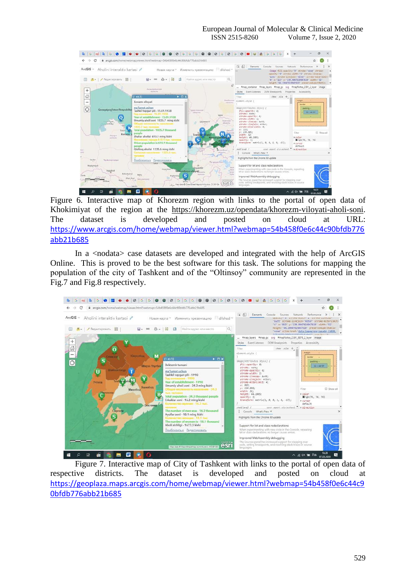| G                                                                                                             |                                                                                                                                                                                                                                                                                                                                 |                                                                                                                                                                                                    |                                                                                                                                                                                                                                                                                                                                                                                      |                                                                                                                                                                                                                                                                          |
|---------------------------------------------------------------------------------------------------------------|---------------------------------------------------------------------------------------------------------------------------------------------------------------------------------------------------------------------------------------------------------------------------------------------------------------------------------|----------------------------------------------------------------------------------------------------------------------------------------------------------------------------------------------------|--------------------------------------------------------------------------------------------------------------------------------------------------------------------------------------------------------------------------------------------------------------------------------------------------------------------------------------------------------------------------------------|--------------------------------------------------------------------------------------------------------------------------------------------------------------------------------------------------------------------------------------------------------------------------|
|                                                                                                               | a arcgis.com/home/webmap/viewer.html?webmap=54b458f0e6c44c90bfdb776abb21b685                                                                                                                                                                                                                                                    |                                                                                                                                                                                                    |                                                                                                                                                                                                                                                                                                                                                                                      |                                                                                                                                                                                                                                                                          |
| ArcGIS<br>Aholini interaktiv kartasi<br>Редактировать<br>88                                                   | Новая карта."<br>a                                                                                                                                                                                                                                                                                                              | Изменить презентацию.<br>dilshod **<br>iQ.<br>Найти адрес или место                                                                                                                                | 尿<br>-61<br>Elements<br>Console<br>Sources:<br>Network.                                                                                                                                                                                                                                                                                                                              | Performance<br>image fill-opacity "@" stroke "none" stroke-<br>opacity "@" stroke-width "1" stroke-linecap-<br>"butt" stroke-lineioln-"miter" stroke-miterlimit-<br>"4" x - "113" y - "239.9047619047619" width - 32"<br>height-"44.19847619847619" preserveAspectRatio- |
| $^{+}$<br>6<br>-                                                                                              | <b>European Avenue</b><br>infinitives.<br>$(1 \text{ m } 3)$<br>$\rightarrow$ $\Box$ $\times$                                                                                                                                                                                                                                   | ťŽ                                                                                                                                                                                                 | #map_container #map_layers #map_gc sug #mapNotes_2391_2_layer image                                                                                                                                                                                                                                                                                                                  |                                                                                                                                                                                                                                                                          |
|                                                                                                               |                                                                                                                                                                                                                                                                                                                                 |                                                                                                                                                                                                    | Styles Event Listeners DOM Breakpoints Properties Accessibility                                                                                                                                                                                                                                                                                                                      |                                                                                                                                                                                                                                                                          |
|                                                                                                               |                                                                                                                                                                                                                                                                                                                                 |                                                                                                                                                                                                    | Eiter<br>:hov .cls $+$                                                                                                                                                                                                                                                                                                                                                               | ,,,,,,,,,,,,,,,,,,,,,,,,,,,,,,,,,,,,                                                                                                                                                                                                                                     |
|                                                                                                               | Xorazm viloyati                                                                                                                                                                                                                                                                                                                 | <b>Minimum</b><br><i><b>HONGHA</b></i>                                                                                                                                                             | element.style (                                                                                                                                                                                                                                                                                                                                                                      | margin<br><b>Bonter</b>                                                                                                                                                                                                                                                  |
| Õ<br>Qoragalpog'iston Respublikat<br>Dated<br>Xorazm<br>Deyogur<br>welevery.                                  | ma'lumot uchun<br>Tashkil topgan yili - 15.01.1938<br>Year of establishment - 15,01,1938<br>Umumiy aholi soni 1835.7 ming kishi<br>Total population - 1835.7 thousand<br>people<br>Shahar aholisi 610.1 ming kishi<br>$4.6403.5$ mag $\mu$<br>Urban population is 610.1 thousand<br>people<br>Qishlog aholisi 1225.6 ming kishi | <b>Ванистанской</b><br>of norms.<br>Tapax<br>Ekmeyese."<br>Шымкент<br>ofisicina.<br>Zalentin<br>Toshki<br>A fet So<br><b>Itayati</b> OV<br><b>SOUTHERN</b>                                         | imporfAttributes Style1 (<br>Fill-opacity: 0;<br>strake: none;<br>stroke-opacity: 0;<br>stroke-width: 1:<br>stroke-Linecap: butt;<br>stroke-Linejoin: miter;<br>stroke-mitercimit: 4;<br>xt 113;<br>y: 239.905;<br>wigth: 32:<br>height: 44.1905;<br>apacity: 1:<br>transform: matrix(1, 0, 0, 1, 0, -17);<br>user goent stylesheet > direction<br>not(sva) (                        | padding =<br>$12 - 44.197$<br>×<br><b><i><u>Property</u></i></b><br>El Show all<br>Filter.<br>» color:<br>图rgb(76, 76, 76)<br><b>K</b> curson<br>default                                                                                                                 |
|                                                                                                               | $-1995.6$ mass                                                                                                                                                                                                                                                                                                                  | <b>OSAUCES</b>                                                                                                                                                                                     | Console<br>What's New X                                                                                                                                                                                                                                                                                                                                                              |                                                                                                                                                                                                                                                                          |
| Serdar<br>Türkmenistan<br>Magtymguly<br>Asgabat<br><b>RaharLoituu</b><br>Altyiti Asyr<br>Koks<br><b>OOKIA</b> | Поиблизить с Редактировать<br><b>Holambaz</b><br><b>Mary</b><br>Költendad<br>Mary welcomy<br><b>Caratri</b>                                                                                                                                                                                                                     | Точикистон<br>Bank<br><b>Дулшанбе</b><br>34/11<br>Surxondaryo viloyati<br><b>Kinat</b><br><b>Cold</b><br><b>Risimnovi</b><br>s<br>Terreiz<br>Jil  Map data @ Coentitreetilap contributors. CC-816A | Highlights from the Chrome 80 update<br>Support for let and class redeclarations<br>When experimenting with new code in the Console, repeating<br>let or class declarations no longer causes errors.<br>Improved WebAssembly debugging<br>The Sources panel has increased support for stepping over<br>code, setting breakpoints, and resolving stack traces in source<br>languages. |                                                                                                                                                                                                                                                                          |
| ы                                                                                                             |                                                                                                                                                                                                                                                                                                                                 |                                                                                                                                                                                                    |                                                                                                                                                                                                                                                                                                                                                                                      | $\wedge$ $\cong$ dx $\frac{6}{36}$ $\sqrt{36}$<br>07.03.2020                                                                                                                                                                                                             |

Figure 6. Interactive map of Khorezm region with links to the portal of open data of Khokimiyat of the region at the [https://khorezm.uz/opendata/khorezm-viloyati-aholi-soni.](https://khorezm.uz/opendata/khorezm-viloyati-aholi-soni) The dataset is developed and posted on cloud at URL: [https://www.arcgis.com/home/webmap/viewer.html?webmap=54b458f0e6c44c90bfdb776](https://www.arcgis.com/home/webmap/viewer.html?webmap=54b458f0e6c44c90bfdb776abb21b685) [abb21b685](https://www.arcgis.com/home/webmap/viewer.html?webmap=54b458f0e6c44c90bfdb776abb21b685)

In a <nodata> case datasets are developed and integrated with the help of ArcGIS Online. This is proved to be the best software for this task. The solutions for mapping the population of the city of Tashkent and of the "Oltinsoy" community are represented in the Fig.7 and Fig.8 respectively.



Figure 7. Interactive map of City of Tashkent with links to the portal of open data of respective districts. The dataset is developed and posted on cloud at [https://geoplaza.maps.arcgis.com/home/webmap/viewer.html?webmap=54b458f0e6c44c9](https://geoplaza.maps.arcgis.com/home/webmap/viewer.html?webmap=54b458f0e6c44c90bfdb776abb21b685) [0bfdb776abb21b685](https://geoplaza.maps.arcgis.com/home/webmap/viewer.html?webmap=54b458f0e6c44c90bfdb776abb21b685)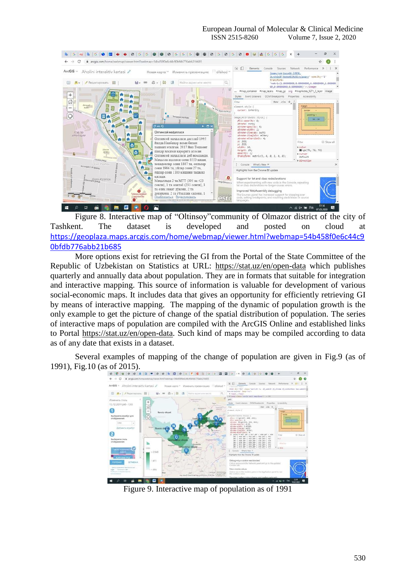

Figure 8. Interactive map of "Oltinsoy"community of Olmazor district of the city of Tashkent. The dataset is developed and posted on cloud at [https://geoplaza.maps.arcgis.com/home/webmap/viewer.html?webmap=54b458f0e6c44c9](https://geoplaza.maps.arcgis.com/home/webmap/viewer.html?webmap=54b458f0e6c44c90bfdb776abb21b685) [0bfdb776abb21b685](https://geoplaza.maps.arcgis.com/home/webmap/viewer.html?webmap=54b458f0e6c44c90bfdb776abb21b685)

More options exist for retrieving the GI from the Portal of the State Committee of the Republic of Uzbekistan on Statistics at URL: <https://stat.uz/en/open-data> which publishes quarterly and annually data about population. They are in formats that suitable for integration and interactive mapping. This source of information is valuable for development of various social-economic maps. It includes data that gives an opportunity for efficiently retrieving GI by means of interactive mapping. The mapping of the dynamic of population growth is the only example to get the picture of change of the spatial distribution of population. The series of interactive maps of population are compiled with the ArcGIS Online and established links to Portal [https://stat.uz/en/open-data.](https://stat.uz/en/open-data) Such kind of maps may be compiled according to data as of any date that exists in a dataset.

Several examples of mapping of the change of population are given in Fig.9 (as of 1991), Fig.10 (as of 2015).



Figure 9. Interactive map of population as of 1991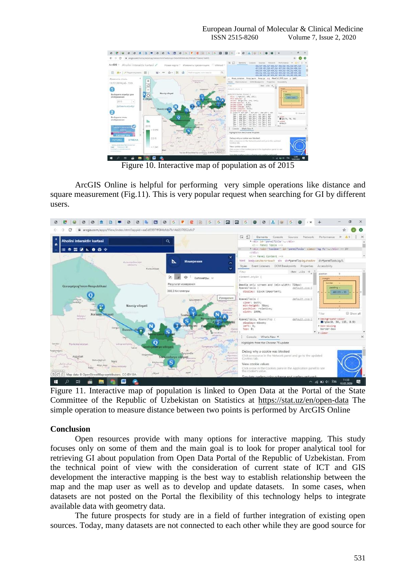

Figure 10. Interactive map of population as of 2015

ArcGIS Online is helpful for performing very simple operations like distance and square measurement (Fig.11). This is very popular request when searching for GI by different users.



Figure 11. Interactive map of population is linked to Open Data at the Portal of the State Committee of the Republic of Uzbekistan on Statistics at<https://stat.uz/en/open-data> The simple operation to measure distance between two points is performed by ArcGIS Online

### **Conclusion**

Open resources provide with many options for interactive mapping. This study focuses only on some of them and the main goal is to look for proper analytical tool for retrieving GI about population from Open Data Portal of the Republic of Uzbekistan. From the technical point of view with the consideration of current state of ICT and GIS development the interactive mapping is the best way to establish relationship between the map and the map user as well as to develop and update datasets. In some cases, when datasets are not posted on the Portal the flexibility of this technology helps to integrate available data with geometry data.

The future prospects for study are in a field of further integration of existing open sources. Today, many datasets are not connected to each other while they are good source for